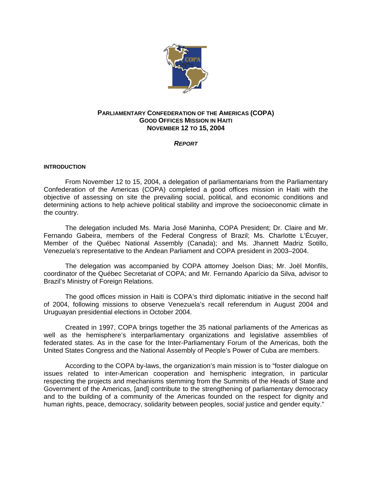

# **PARLIAMENTARY CONFEDERATION OF THE AMERICAS (COPA) GOOD OFFICES MISSION IN HAITI NOVEMBER 12 TO 15, 2004**

*REPORT*

### **INTRODUCTION**

From November 12 to 15, 2004, a delegation of parliamentarians from the Parliamentary Confederation of the Americas (COPA) completed a good offices mission in Haiti with the objective of assessing on site the prevailing social, political, and economic conditions and determining actions to help achieve political stability and improve the socioeconomic climate in the country.

The delegation included Ms. Maria José Maninha, COPA President; Dr. Claire and Mr. Fernando Gabeira, members of the Federal Congress of Brazil; Ms. Charlotte L'Écuyer, Member of the Québec National Assembly (Canada); and Ms. Jhannett Madriz Sotillo, Venezuela's representative to the Andean Parliament and COPA president in 2003–2004.

The delegation was accompanied by COPA attorney Joelson Dias; Mr. Joël Monfils, coordinator of the Québec Secretariat of COPA; and Mr. Fernando Aparício da Silva, advisor to Brazil's Ministry of Foreign Relations.

The good offices mission in Haiti is COPA's third diplomatic initiative in the second half of 2004, following missions to observe Venezuela's recall referendum in August 2004 and Uruguayan presidential elections in October 2004.

Created in 1997, COPA brings together the 35 national parliaments of the Americas as well as the hemisphere's interparliamentary organizations and legislative assemblies of federated states. As in the case for the Inter-Parliamentary Forum of the Americas, both the United States Congress and the National Assembly of People's Power of Cuba are members.

According to the COPA by-laws, the organization's main mission is to "foster dialogue on issues related to inter-American cooperation and hemispheric integration, in particular respecting the projects and mechanisms stemming from the Summits of the Heads of State and Government of the Americas, [and] contribute to the strengthening of parliamentary democracy and to the building of a community of the Americas founded on the respect for dignity and human rights, peace, democracy, solidarity between peoples, social justice and gender equity."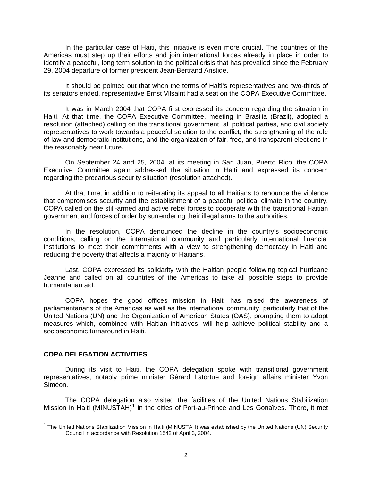In the particular case of Haiti, this initiative is even more crucial. The countries of the Americas must step up their efforts and join international forces already in place in order to identify a peaceful, long term solution to the political crisis that has prevailed since the February 29, 2004 departure of former president Jean-Bertrand Aristide.

It should be pointed out that when the terms of Haiti's representatives and two-thirds of its senators ended, representative Ernst Vilsaint had a seat on the COPA Executive Committee.

It was in March 2004 that COPA first expressed its concern regarding the situation in Haiti. At that time, the COPA Executive Committee, meeting in Brasilia (Brazil), adopted a resolution (attached) calling on the transitional government, all political parties, and civil society representatives to work towards a peaceful solution to the conflict, the strengthening of the rule of law and democratic institutions, and the organization of fair, free, and transparent elections in the reasonably near future.

On September 24 and 25, 2004, at its meeting in San Juan, Puerto Rico, the COPA Executive Committee again addressed the situation in Haiti and expressed its concern regarding the precarious security situation (resolution attached).

At that time, in addition to reiterating its appeal to all Haitians to renounce the violence that compromises security and the establishment of a peaceful political climate in the country, COPA called on the still-armed and active rebel forces to cooperate with the transitional Haitian government and forces of order by surrendering their illegal arms to the authorities.

In the resolution, COPA denounced the decline in the country's socioeconomic conditions, calling on the international community and particularly international financial institutions to meet their commitments with a view to strengthening democracy in Haiti and reducing the poverty that affects a majority of Haitians.

Last, COPA expressed its solidarity with the Haitian people following topical hurricane Jeanne and called on all countries of the Americas to take all possible steps to provide humanitarian aid.

COPA hopes the good offices mission in Haiti has raised the awareness of parliamentarians of the Americas as well as the international community, particularly that of the United Nations (UN) and the Organization of American States (OAS), prompting them to adopt measures which, combined with Haitian initiatives, will help achieve political stability and a socioeconomic turnaround in Haiti.

# **COPA DELEGATION ACTIVITIES**

During its visit to Haiti, the COPA delegation spoke with transitional government representatives, notably prime minister Gérard Latortue and foreign affairs minister Yvon Siméon.

The COPA delegation also visited the facilities of the United Nations Stabilization Mission in Haiti (MINUSTAH)<sup>[1](#page-1-0)</sup> in the cities of Port-au-Prince and Les Gonaïves. There, it met

<span id="page-1-0"></span><sup>&</sup>lt;u>nd</u><br><sup>1</sup> The United Nations Stabilization Mission in Haiti (MINUSTAH) was established by the United Nations (UN) Security Council in accordance with Resolution 1542 of April 3, 2004.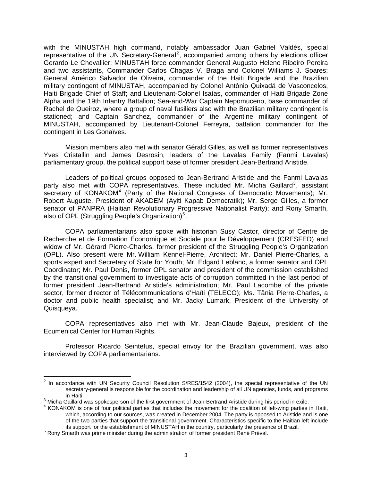with the MINUSTAH high command, notably ambassador Juan Gabriel Valdés, special representative of the UN Secretary-General<sup>[2](#page-2-0)</sup>, accompanied among others by elections officer Gerardo Le Chevallier; MINUSTAH force commander General Augusto Heleno Ribeiro Pereira and two assistants, Commander Carlos Chagas V. Braga and Colonel Williams J. Soares; General Américo Salvador de Oliveira, commander of the Haiti Brigade and the Brazilian military contingent of MINUSTAH, accompanied by Colonel Antônio Quixadá de Vasconcelos, Haiti Brigade Chief of Staff; and Lieutenant-Colonel Isaías, commander of Haiti Brigade Zone Alpha and the 19th Infantry Battalion; Sea-and-War Captain Nepomuceno, base commander of Rachel de Queiroz, where a group of naval fusiliers also with the Brazilian military contingent is stationed; and Captain Sanchez, commander of the Argentine military contingent of MINUSTAH, accompanied by Lieutenant-Colonel Ferreyra, battalion commander for the contingent in Les Gonaïves.

Mission members also met with senator Gérald Gilles, as well as former representatives Yves Cristallin and James Desrosin, leaders of the Lavalas Family (Fanmi Lavalas) parliamentary group, the political support base of former president Jean-Bertrand Aristide.

Leaders of political groups opposed to Jean-Bertrand Aristide and the Fanmi Lavalas party also met with COPA representatives. These included Mr. Micha Gaillard<sup>[3](#page-2-1)</sup>, assistant secretary of KONAKOM<sup>[4](#page-2-2)</sup> (Party of the National Congress of Democratic Movements); Mr. Robert Auguste, President of AKADEM (Ayiti Kapab Democratik); Mr. Serge Gilles, a former senator of PANPRA (Haitian Revolutionary Progressive Nationalist Party); and Rony Smarth, also of OPL (Struggling People's Organization)<sup>[5](#page-2-3)</sup>.

COPA parliamentarians also spoke with historian Susy Castor, director of Centre de Recherche et de Formation Économique et Sociale pour le Développement (CRESFED) and widow of Mr. Gérard Pierre-Charles, former president of the Struggling People's Organization (OPL). Also present were Mr. William Kennel-Pierre, Architect; Mr. Daniel Pierre-Charles, a sports expert and Secretary of State for Youth; Mr. Edgard Leblanc, a former senator and OPL Coordinator; Mr. Paul Denis, former OPL senator and president of the commission established by the transitional government to investigate acts of corruption committed in the last period of former president Jean-Bertrand Aristide's administration; Mr. Paul Lacombe of the private sector, former director of Télécommunications d'Haïti (TELECO); Ms. Tânia Pierre-Charles, a doctor and public health specialist; and Mr. Jacky Lumark, President of the University of Quisqueya.

COPA representatives also met with Mr. Jean-Claude Bajeux, president of the Ecumenical Center for Human Rights.

Professor Ricardo Seintefus, special envoy for the Brazilian government, was also interviewed by COPA parliamentarians.

 $\overline{a}$ 

<span id="page-2-0"></span> $2$  In accordance with UN Security Council Resolution S/RES/1542 (2004), the special representative of the UN secretary-general is responsible for the coordination and leadership of all UN agencies, funds, and programs in Haiti.<br><sup>3</sup> Micha Caillard v

<span id="page-2-1"></span><sup>&</sup>lt;sup>3</sup> Micha Gaillard was spokesperson of the first government of Jean-Bertrand Aristide during his period in exile.<br><sup>4</sup> KONAKOM is ans of four political perties that includes the mayoment for the coolition of left wing pert

<span id="page-2-2"></span><sup>&</sup>lt;sup>4</sup> KONAKOM is one of four political parties that includes the movement for the coalition of left-wing parties in Haiti, which, according to our sources, was created in December 2004. The party is opposed to Aristide and is one of the two parties that support the transitional government. Characteristics specific to the Haitian left include its support for the establishment of MINUSTAH in the country, particularly the presence of Brazil.

<span id="page-2-3"></span><sup>&</sup>lt;sup>5</sup> Rony Smarth was prime minister during the administration of former president René Préval.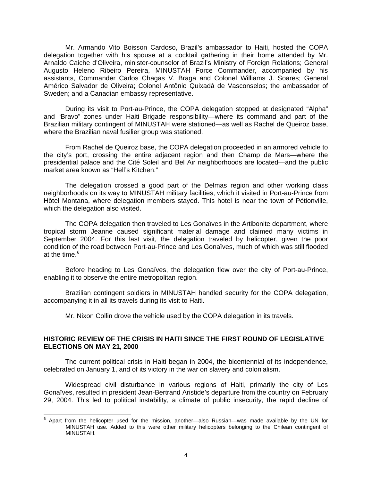Mr. Armando Vito Boisson Cardoso, Brazil's ambassador to Haiti, hosted the COPA delegation together with his spouse at a cocktail gathering in their home attended by Mr. Arnaldo Caiche d'Oliveira, minister-counselor of Brazil's Ministry of Foreign Relations; General Augusto Heleno Ribeiro Pereira, MINUSTAH Force Commander, accompanied by his assistants, Commander Carlos Chagas V. Braga and Colonel Williams J. Soares; General Américo Salvador de Oliveira; Colonel Antônio Quixadá de Vasconselos; the ambassador of Sweden; and a Canadian embassy representative.

During its visit to Port-au-Prince, the COPA delegation stopped at designated "Alpha" and "Bravo" zones under Haiti Brigade responsibility—where its command and part of the Brazilian military contingent of MINUSTAH were stationed—as well as Rachel de Queiroz base, where the Brazilian naval fusilier group was stationed.

From Rachel de Queiroz base, the COPA delegation proceeded in an armored vehicle to the city's port, crossing the entire adjacent region and then Champ de Mars—where the presidential palace and the Cité Soleil and Bel Air neighborhoods are located—and the public market area known as "Hell's Kitchen."

The delegation crossed a good part of the Delmas region and other working class neighborhoods on its way to MINUSTAH military facilities, which it visited in Port-au-Prince from Hôtel Montana, where delegation members stayed. This hotel is near the town of Pétionville, which the delegation also visited.

The COPA delegation then traveled to Les Gonaïves in the Artibonite department, where tropical storm Jeanne caused significant material damage and claimed many victims in September 2004. For this last visit, the delegation traveled by helicopter, given the poor condition of the road between Port-au-Prince and Les Gonaïves, much of which was still flooded at the time. $6$ 

Before heading to Les Gonaïves, the delegation flew over the city of Port-au-Prince, enabling it to observe the entire metropolitan region.

Brazilian contingent soldiers in MINUSTAH handled security for the COPA delegation, accompanying it in all its travels during its visit to Haiti.

Mr. Nixon Collin drove the vehicle used by the COPA delegation in its travels.

# **HISTORIC REVIEW OF THE CRISIS IN HAITI SINCE THE FIRST ROUND OF LEGISLATIVE ELECTIONS ON MAY 21, 2000**

The current political crisis in Haiti began in 2004, the bicentennial of its independence, celebrated on January 1, and of its victory in the war on slavery and colonialism.

Widespread civil disturbance in various regions of Haiti, primarily the city of Les Gonaïves, resulted in president Jean-Bertrand Aristide's departure from the country on February 29, 2004. This led to political instability, a climate of public insecurity, the rapid decline of

<span id="page-3-0"></span> 6 Apart from the helicopter used for the mission, another—also Russian—was made available by the UN for MINUSTAH use. Added to this were other military helicopters belonging to the Chilean contingent of MINUSTAH.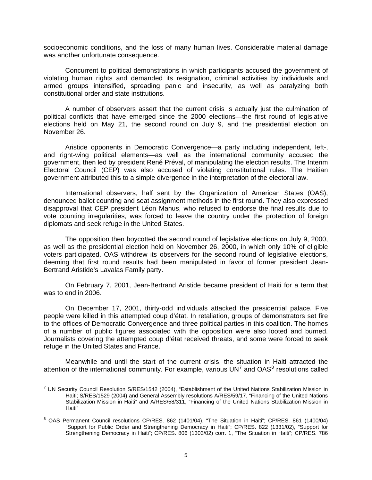socioeconomic conditions, and the loss of many human lives. Considerable material damage was another unfortunate consequence.

Concurrent to political demonstrations in which participants accused the government of violating human rights and demanded its resignation, criminal activities by individuals and armed groups intensified, spreading panic and insecurity, as well as paralyzing both constitutional order and state institutions.

A number of observers assert that the current crisis is actually just the culmination of political conflicts that have emerged since the 2000 elections—the first round of legislative elections held on May 21, the second round on July 9, and the presidential election on November 26.

Aristide opponents in Democratic Convergence—a party including independent, left-, and right-wing political elements—as well as the international community accused the government, then led by president René Préval, of manipulating the election results. The Interim Electoral Council (CEP) was also accused of violating constitutional rules. The Haitian government attributed this to a simple divergence in the interpretation of the electoral law.

International observers, half sent by the Organization of American States (OAS), denounced ballot counting and seat assignment methods in the first round. They also expressed disapproval that CEP president Léon Manus, who refused to endorse the final results due to vote counting irregularities, was forced to leave the country under the protection of foreign diplomats and seek refuge in the United States.

The opposition then boycotted the second round of legislative elections on July 9, 2000, as well as the presidential election held on November 26, 2000, in which only 10% of eligible voters participated. OAS withdrew its observers for the second round of legislative elections, deeming that first round results had been manipulated in favor of former president Jean-Bertrand Aristide's Lavalas Family party.

On February 7, 2001, Jean-Bertrand Aristide became president of Haiti for a term that was to end in 2006.

On December 17, 2001, thirty-odd individuals attacked the presidential palace. Five people were killed in this attempted coup d'état. In retaliation, groups of demonstrators set fire to the offices of Democratic Convergence and three political parties in this coalition. The homes of a number of public figures associated with the opposition were also looted and burned. Journalists covering the attempted coup d'état received threats, and some were forced to seek refuge in the United States and France.

Meanwhile and until the start of the current crisis, the situation in Haiti attracted the attention of the international community. For example, various  $UN<sup>7</sup>$  $UN<sup>7</sup>$  $UN<sup>7</sup>$  and OAS<sup>[8](#page-4-1)</sup> resolutions called

<span id="page-4-0"></span> 7 UN Security Council Resolution S/RES/1542 (2004), "Establishment of the United Nations Stabilization Mission in Haiti; S/RES/1529 (2004) and General Assembly resolutions A/RES/59/17, "Financing of the United Nations Stabilization Mission in Haiti" and A/RES/58/311, "Financing of the United Nations Stabilization Mission in Haiti"

<span id="page-4-1"></span><sup>&</sup>lt;sup>8</sup> OAS Permanent Council resolutions CP/RES. 862 (1401/04), "The Situation in Haiti"; CP/RES. 861 (1400/04) "Support for Public Order and Strengthening Democracy in Haiti"; CP/RES. 822 (1331/02), "Support for Strengthening Democracy in Haiti"; CP/RES. 806 (1303/02) corr. 1, "The Situation in Haiti"; CP/RES. 786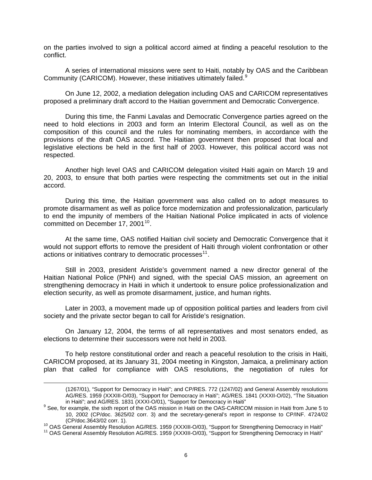on the parties involved to sign a political accord aimed at finding a peaceful resolution to the conflict.

A series of international missions were sent to Haiti, notably by OAS and the Caribbean Community (CARICOM). However, these initiatives ultimately failed.<sup>[9](#page-5-0)</sup>

On June 12, 2002, a mediation delegation including OAS and CARICOM representatives proposed a preliminary draft accord to the Haitian government and Democratic Convergence.

During this time, the Fanmi Lavalas and Democratic Convergence parties agreed on the need to hold elections in 2003 and form an Interim Electoral Council, as well as on the composition of this council and the rules for nominating members, in accordance with the provisions of the draft OAS accord. The Haitian government then proposed that local and legislative elections be held in the first half of 2003. However, this political accord was not respected.

 Another high level OAS and CARICOM delegation visited Haiti again on March 19 and 20, 2003, to ensure that both parties were respecting the commitments set out in the initial accord.

During this time, the Haitian government was also called on to adopt measures to promote disarmament as well as police force modernization and professionalization, particularly to end the impunity of members of the Haitian National Police implicated in acts of violence committed on December 17, 2001<sup>[10](#page-5-1)</sup>.

At the same time, OAS notified Haitian civil society and Democratic Convergence that it would not support efforts to remove the president of Haiti through violent confrontation or other actions or initiatives contrary to democratic processes<sup>[11](#page-5-2)</sup>.

 Still in 2003, president Aristide's government named a new director general of the Haitian National Police (PNH) and signed, with the special OAS mission, an agreement on strengthening democracy in Haiti in which it undertook to ensure police professionalization and election security, as well as promote disarmament, justice, and human rights.

Later in 2003, a movement made up of opposition political parties and leaders from civil society and the private sector began to call for Aristide's resignation.

On January 12, 2004, the terms of all representatives and most senators ended, as elections to determine their successors were not held in 2003.

To help restore constitutional order and reach a peaceful resolution to the crisis in Haiti, CARICOM proposed, at its January 31, 2004 meeting in Kingston, Jamaica, a preliminary action plan that called for compliance with OAS resolutions, the negotiation of rules for

 $\overline{a}$ 

<sup>(1267/01), &</sup>quot;Support for Democracy in Haiti"; and CP/RES. 772 (1247/02) and General Assembly resolutions AG/RES. 1959 (XXXIII-O/03), "Support for Democracy in Haiti"; AG/RES. 1841 (XXXII-O/02), "The Situation

<span id="page-5-0"></span>in Haiti"; and AG/RES. 1831 (XXXI-O/01), "Support for Democracy in Haiti"<br><sup>9</sup> See, for example, the sixth report of the OAS mission in Haiti on the OAS-CARICOM mission in Haiti from June 5 to 10, 2002 (CP/doc. 3625/02 corr. 3) and the secretary-general's report in response to CP/INF. 4724/02 (CP/doc.3643/02 corr. 1).<br><sup>10</sup> OAS General Assembly Resolution AG/RES. 1959 (XXXIII-O/03), "Support for Strengthening Democracy in Haiti"<br><sup>11</sup> OAS General Assembly Resolution AG/RES. 1959 (XXXIII-O/03), "Support for Streng

<span id="page-5-2"></span><span id="page-5-1"></span>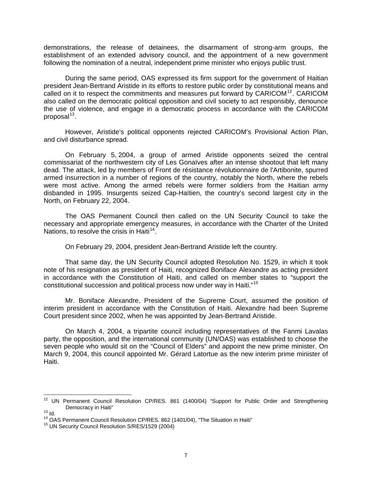demonstrations, the release of detainees, the disarmament of strong-arm groups, the establishment of an extended advisory council, and the appointment of a new government following the nomination of a neutral, independent prime minister who enjoys public trust.

During the same period, OAS expressed its firm support for the government of Haitian president Jean-Bertrand Aristide in its efforts to restore public order by constitutional means and called on it to respect the commitments and measures put forward by  $CARICOM<sup>12</sup>$  $CARICOM<sup>12</sup>$  $CARICOM<sup>12</sup>$ . CARICOM also called on the democratic political opposition and civil society to act responsibly, denounce the use of violence, and engage in a democratic process in accordance with the CARICOM proposal $^{13}$  $^{13}$  $^{13}$ .

However, Aristide's political opponents rejected CARICOM's Provisional Action Plan, and civil disturbance spread.

On February 5, 2004, a group of armed Aristide opponents seized the central commissariat of the northwestern city of Les Gonaïves after an intense shootout that left many dead. The attack, led by members of Front de résistance révolutionnaire de l'Artibonite, spurred armed insurrection in a number of regions of the country, notably the North, where the rebels were most active. Among the armed rebels were former soldiers from the Haitian army disbanded in 1995. Insurgents seized Cap-Haïtien, the country's second largest city in the North, on February 22, 2004.

The OAS Permanent Council then called on the UN Security Council to take the necessary and appropriate emergency measures, in accordance with the Charter of the United Nations, to resolve the crisis in Haiti<sup>[14](#page-6-2)</sup>.

On February 29, 2004, president Jean-Bertrand Aristide left the country.

That same day, the UN Security Council adopted Resolution No. 1529, in which it took note of his resignation as president of Haiti, recognized Boniface Alexandre as acting president in accordance with the Constitution of Haiti, and called on member states to "support the constitutional succession and political process now under way in Haiti."[15](#page-6-3)

Mr. Boniface Alexandre, President of the Supreme Court, assumed the position of interim president in accordance with the Constitution of Haiti. Alexandre had been Supreme Court president since 2002, when he was appointed by Jean-Bertrand Aristide.

On March 4, 2004, a tripartite council including representatives of the Fanmi Lavalas party, the opposition, and the international community (UN/OAS) was established to choose the seven people who would sit on the "Council of Elders" and appoint the new prime minister. On March 9, 2004, this council appointed Mr. Gérard Latortue as the new interim prime minister of Haiti.

 $\overline{a}$ 

<span id="page-6-0"></span> $12$  UN Permanent Council Resolution CP/RES. 861 (1400/04) "Support for Public Order and Strengthening Democracy in Haiti"<br><sup>13</sup> Id. 14<br><sup>14</sup> OAS Permanent Council Resolution CP/RES. 862 (1401/04), "The Situation in Haiti" 15 UN Security Council Resolution S/RES/1529 (2004)

<span id="page-6-2"></span><span id="page-6-1"></span>

<span id="page-6-3"></span>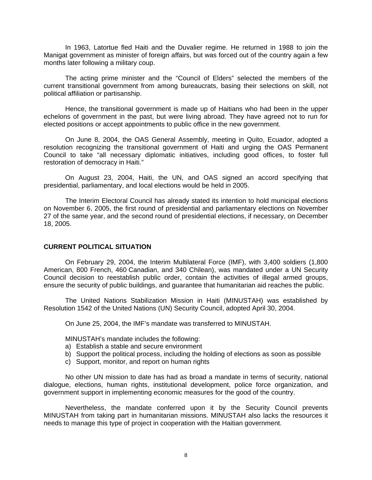In 1963, Latortue fled Haiti and the Duvalier regime. He returned in 1988 to join the Manigat government as minister of foreign affairs, but was forced out of the country again a few months later following a military coup.

 The acting prime minister and the "Council of Elders" selected the members of the current transitional government from among bureaucrats, basing their selections on skill, not political affiliation or partisanship.

 Hence, the transitional government is made up of Haitians who had been in the upper echelons of government in the past, but were living abroad. They have agreed not to run for elected positions or accept appointments to public office in the new government.

On June 8, 2004, the OAS General Assembly, meeting in Quito, Ecuador, adopted a resolution recognizing the transitional government of Haiti and urging the OAS Permanent Council to take "all necessary diplomatic initiatives, including good offices, to foster full restoration of democracy in Haiti."

On August 23, 2004, Haiti, the UN, and OAS signed an accord specifying that presidential, parliamentary, and local elections would be held in 2005.

The Interim Electoral Council has already stated its intention to hold municipal elections on November 6, 2005, the first round of presidential and parliamentary elections on November 27 of the same year, and the second round of presidential elections, if necessary, on December 18, 2005.

# **CURRENT POLITICAL SITUATION**

On February 29, 2004, the Interim Multilateral Force (IMF), with 3,400 soldiers (1,800 American, 800 French, 460 Canadian, and 340 Chilean), was mandated under a UN Security Council decision to reestablish public order, contain the activities of illegal armed groups, ensure the security of public buildings, and guarantee that humanitarian aid reaches the public.

The United Nations Stabilization Mission in Haiti (MINUSTAH) was established by Resolution 1542 of the United Nations (UN) Security Council, adopted April 30, 2004.

On June 25, 2004, the IMF's mandate was transferred to MINUSTAH.

MINUSTAH's mandate includes the following:

- a) Establish a stable and secure environment
- b) Support the political process, including the holding of elections as soon as possible
- c) Support, monitor, and report on human rights

No other UN mission to date has had as broad a mandate in terms of security, national dialogue, elections, human rights, institutional development, police force organization, and government support in implementing economic measures for the good of the country.

Nevertheless, the mandate conferred upon it by the Security Council prevents MINUSTAH from taking part in humanitarian missions. MINUSTAH also lacks the resources it needs to manage this type of project in cooperation with the Haitian government.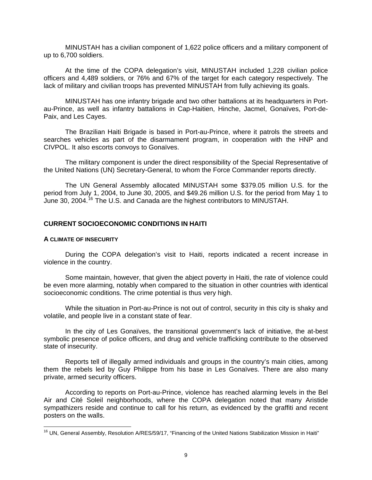MINUSTAH has a civilian component of 1,622 police officers and a military component of up to 6,700 soldiers.

At the time of the COPA delegation's visit, MINUSTAH included 1,228 civilian police officers and 4,489 soldiers, or 76% and 67% of the target for each category respectively. The lack of military and civilian troops has prevented MINUSTAH from fully achieving its goals.

MINUSTAH has one infantry brigade and two other battalions at its headquarters in Portau-Prince, as well as infantry battalions in Cap-Haitien, Hinche, Jacmel, Gonaïves, Port-de-Paix, and Les Cayes.

The Brazilian Haiti Brigade is based in Port-au-Prince, where it patrols the streets and searches vehicles as part of the disarmament program, in cooperation with the HNP and CIVPOL. It also escorts convoys to Gonaïves.

The military component is under the direct responsibility of the Special Representative of the United Nations (UN) Secretary-General, to whom the Force Commander reports directly.

The UN General Assembly allocated MINUSTAH some \$379.05 million U.S. for the period from July 1, 2004, to June 30, 2005, and \$49.26 million U.S. for the period from May 1 to June 30, 2004.<sup>[16](#page-8-0)</sup> The U.S. and Canada are the highest contributors to MINUSTAH.

# **CURRENT SOCIOECONOMIC CONDITIONS IN HAITI**

#### **A CLIMATE OF INSECURITY**

 $\overline{a}$ 

During the COPA delegation's visit to Haiti, reports indicated a recent increase in violence in the country.

Some maintain, however, that given the abject poverty in Haiti, the rate of violence could be even more alarming, notably when compared to the situation in other countries with identical socioeconomic conditions. The crime potential is thus very high.

While the situation in Port-au-Prince is not out of control, security in this city is shaky and volatile, and people live in a constant state of fear.

In the city of Les Gonaïves, the transitional government's lack of initiative, the at-best symbolic presence of police officers, and drug and vehicle trafficking contribute to the observed state of insecurity.

Reports tell of illegally armed individuals and groups in the country's main cities, among them the rebels led by Guy Philippe from his base in Les Gonaïves. There are also many private, armed security officers.

According to reports on Port-au-Prince, violence has reached alarming levels in the Bel Air and Cité Soleil neighborhoods, where the COPA delegation noted that many Aristide sympathizers reside and continue to call for his return, as evidenced by the graffiti and recent posters on the walls.

<span id="page-8-0"></span><sup>&</sup>lt;sup>16</sup> UN, General Assembly, Resolution A/RES/59/17, "Financing of the United Nations Stabilization Mission in Haiti"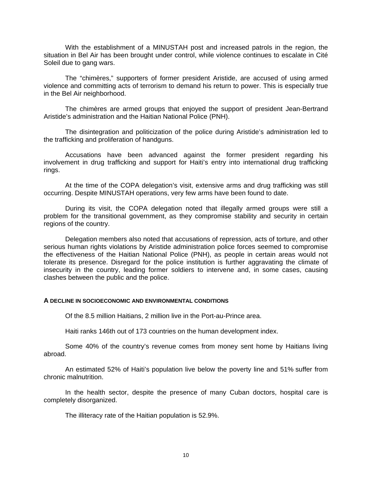With the establishment of a MINUSTAH post and increased patrols in the region, the situation in Bel Air has been brought under control, while violence continues to escalate in Cité Soleil due to gang wars.

The "chimères," supporters of former president Aristide, are accused of using armed violence and committing acts of terrorism to demand his return to power. This is especially true in the Bel Air neighborhood.

The chimères are armed groups that enjoyed the support of president Jean-Bertrand Aristide's administration and the Haitian National Police (PNH).

 The disintegration and politicization of the police during Aristide's administration led to the trafficking and proliferation of handguns.

Accusations have been advanced against the former president regarding his involvement in drug trafficking and support for Haiti's entry into international drug trafficking rings.

At the time of the COPA delegation's visit, extensive arms and drug trafficking was still occurring. Despite MINUSTAH operations, very few arms have been found to date.

During its visit, the COPA delegation noted that illegally armed groups were still a problem for the transitional government, as they compromise stability and security in certain regions of the country.

Delegation members also noted that accusations of repression, acts of torture, and other serious human rights violations by Aristide administration police forces seemed to compromise the effectiveness of the Haitian National Police (PNH), as people in certain areas would not tolerate its presence. Disregard for the police institution is further aggravating the climate of insecurity in the country, leading former soldiers to intervene and, in some cases, causing clashes between the public and the police.

## **A DECLINE IN SOCIOECONOMIC AND ENVIRONMENTAL CONDITIONS**

Of the 8.5 million Haitians, 2 million live in the Port-au-Prince area.

Haiti ranks 146th out of 173 countries on the human development index.

 Some 40% of the country's revenue comes from money sent home by Haitians living abroad.

 An estimated 52% of Haiti's population live below the poverty line and 51% suffer from chronic malnutrition.

 In the health sector, despite the presence of many Cuban doctors, hospital care is completely disorganized.

The illiteracy rate of the Haitian population is 52.9%.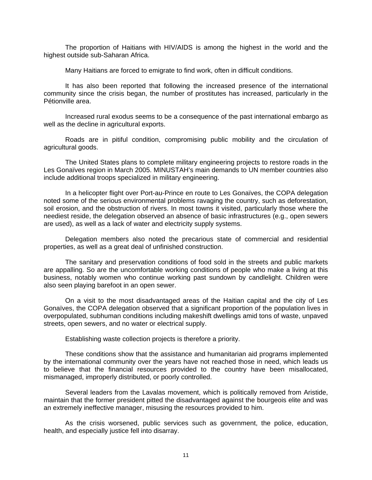The proportion of Haitians with HIV/AIDS is among the highest in the world and the highest outside sub-Saharan Africa.

Many Haitians are forced to emigrate to find work, often in difficult conditions.

 It has also been reported that following the increased presence of the international community since the crisis began, the number of prostitutes has increased, particularly in the Pétionville area.

 Increased rural exodus seems to be a consequence of the past international embargo as well as the decline in agricultural exports.

 Roads are in pitiful condition, compromising public mobility and the circulation of agricultural goods.

 The United States plans to complete military engineering projects to restore roads in the Les Gonaïves region in March 2005. MINUSTAH's main demands to UN member countries also include additional troops specialized in military engineering.

 In a helicopter flight over Port-au-Prince en route to Les Gonaïves, the COPA delegation noted some of the serious environmental problems ravaging the country, such as deforestation, soil erosion, and the obstruction of rivers. In most towns it visited, particularly those where the neediest reside, the delegation observed an absence of basic infrastructures (e.g., open sewers are used), as well as a lack of water and electricity supply systems.

 Delegation members also noted the precarious state of commercial and residential properties, as well as a great deal of unfinished construction.

 The sanitary and preservation conditions of food sold in the streets and public markets are appalling. So are the uncomfortable working conditions of people who make a living at this business, notably women who continue working past sundown by candlelight. Children were also seen playing barefoot in an open sewer.

On a visit to the most disadvantaged areas of the Haitian capital and the city of Les Gonaïves, the COPA delegation observed that a significant proportion of the population lives in overpopulated, subhuman conditions including makeshift dwellings amid tons of waste, unpaved streets, open sewers, and no water or electrical supply.

Establishing waste collection projects is therefore a priority.

These conditions show that the assistance and humanitarian aid programs implemented by the international community over the years have not reached those in need, which leads us to believe that the financial resources provided to the country have been misallocated, mismanaged, improperly distributed, or poorly controlled.

Several leaders from the Lavalas movement, which is politically removed from Aristide, maintain that the former president pitted the disadvantaged against the bourgeois elite and was an extremely ineffective manager, misusing the resources provided to him.

 As the crisis worsened, public services such as government, the police, education, health, and especially justice fell into disarray.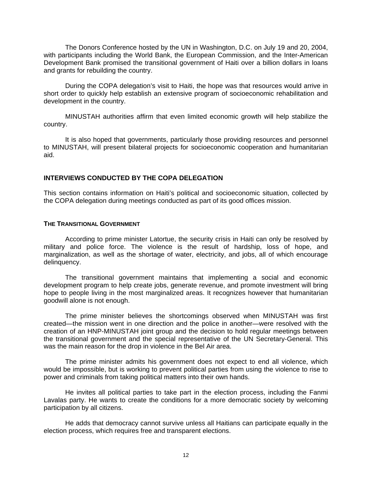The Donors Conference hosted by the UN in Washington, D.C. on July 19 and 20, 2004, with participants including the World Bank, the European Commission, and the Inter-American Development Bank promised the transitional government of Haiti over a billion dollars in loans and grants for rebuilding the country.

 During the COPA delegation's visit to Haiti, the hope was that resources would arrive in short order to quickly help establish an extensive program of socioeconomic rehabilitation and development in the country.

MINUSTAH authorities affirm that even limited economic growth will help stabilize the country.

It is also hoped that governments, particularly those providing resources and personnel to MINUSTAH, will present bilateral projects for socioeconomic cooperation and humanitarian aid.

# **INTERVIEWS CONDUCTED BY THE COPA DELEGATION**

This section contains information on Haiti's political and socioeconomic situation, collected by the COPA delegation during meetings conducted as part of its good offices mission.

#### **THE TRANSITIONAL GOVERNMENT**

 According to prime minister Latortue, the security crisis in Haiti can only be resolved by military and police force. The violence is the result of hardship, loss of hope, and marginalization, as well as the shortage of water, electricity, and jobs, all of which encourage delinquency.

 The transitional government maintains that implementing a social and economic development program to help create jobs, generate revenue, and promote investment will bring hope to people living in the most marginalized areas. It recognizes however that humanitarian goodwill alone is not enough.

 The prime minister believes the shortcomings observed when MINUSTAH was first created—the mission went in one direction and the police in another—were resolved with the creation of an HNP-MINUSTAH joint group and the decision to hold regular meetings between the transitional government and the special representative of the UN Secretary-General. This was the main reason for the drop in violence in the Bel Air area.

 The prime minister admits his government does not expect to end all violence, which would be impossible, but is working to prevent political parties from using the violence to rise to power and criminals from taking political matters into their own hands.

 He invites all political parties to take part in the election process, including the Fanmi Lavalas party. He wants to create the conditions for a more democratic society by welcoming participation by all citizens.

 He adds that democracy cannot survive unless all Haitians can participate equally in the election process, which requires free and transparent elections.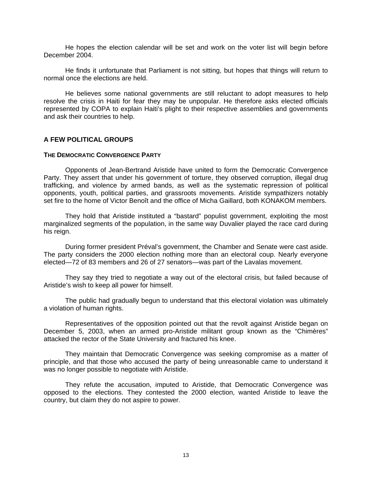He hopes the election calendar will be set and work on the voter list will begin before December 2004.

 He finds it unfortunate that Parliament is not sitting, but hopes that things will return to normal once the elections are held.

 He believes some national governments are still reluctant to adopt measures to help resolve the crisis in Haiti for fear they may be unpopular. He therefore asks elected officials represented by COPA to explain Haiti's plight to their respective assemblies and governments and ask their countries to help.

### **A FEW POLITICAL GROUPS**

#### **THE DEMOCRATIC CONVERGENCE PARTY**

 Opponents of Jean-Bertrand Aristide have united to form the Democratic Convergence Party. They assert that under his government of torture, they observed corruption, illegal drug trafficking, and violence by armed bands, as well as the systematic repression of political opponents, youth, political parties, and grassroots movements. Aristide sympathizers notably set fire to the home of Victor Benoît and the office of Micha Gaillard, both KONAKOM members.

 They hold that Aristide instituted a "bastard" populist government, exploiting the most marginalized segments of the population, in the same way Duvalier played the race card during his reign.

 During former president Préval's government, the Chamber and Senate were cast aside. The party considers the 2000 election nothing more than an electoral coup. Nearly everyone elected—72 of 83 members and 26 of 27 senators—was part of the Lavalas movement.

 They say they tried to negotiate a way out of the electoral crisis, but failed because of Aristide's wish to keep all power for himself.

 The public had gradually begun to understand that this electoral violation was ultimately a violation of human rights.

 Representatives of the opposition pointed out that the revolt against Aristide began on December 5, 2003, when an armed pro-Aristide militant group known as the "Chimères" attacked the rector of the State University and fractured his knee.

 They maintain that Democratic Convergence was seeking compromise as a matter of principle, and that those who accused the party of being unreasonable came to understand it was no longer possible to negotiate with Aristide.

 They refute the accusation, imputed to Aristide, that Democratic Convergence was opposed to the elections. They contested the 2000 election, wanted Aristide to leave the country, but claim they do not aspire to power.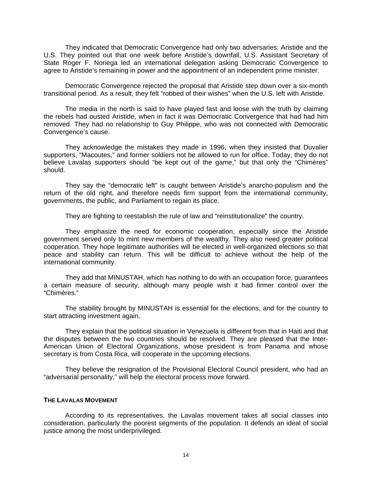They indicated that Democratic Convergence had only two adversaries: Aristide and the U.S. They pointed out that one week before Aristide's downfall, U.S. Assistant Secretary of State Roger F. Noriega led an international delegation asking Democratic Convergence to agree to Aristide's remaining in power and the appointment of an independent prime minister.

 Democratic Convergence rejected the proposal that Aristide step down over a six-month transitional period. As a result, they felt "robbed of their wishes" when the U.S. left with Aristide.

 The media in the north is said to have played fast and loose with the truth by claiming the rebels had ousted Aristide, when in fact it was Democratic Convergence that had had him removed. They had no relationship to Guy Philippe, who was not connected with Democratic Convergence's cause.

 They acknowledge the mistakes they made in 1996, when they insisted that Duvalier supporters, "Macoutes," and former soldiers not be allowed to run for office. Today, they do not believe Lavalas supporters should "be kept out of the game," but that only the "Chimères" should.

 They say the "democratic left" is caught between Aristide's anarcho-populism and the return of the old right, and therefore needs firm support from the international community, governments, the public, and Parliament to regain its place.

They are fighting to reestablish the rule of law and "reinstitutionalize" the country.

 They emphasize the need for economic cooperation, especially since the Aristide government served only to mint new members of the wealthy. They also need greater political cooperation. They hope legitimate authorities will be elected in well-organized elections so that peace and stability can return. This will be difficult to achieve without the help of the international community.

 They add that MINUSTAH, which has nothing to do with an occupation force, guarantees a certain measure of security, although many people wish it had firmer control over the "Chimères."

 The stability brought by MINUSTAH is essential for the elections, and for the country to start attracting investment again.

 They explain that the political situation in Venezuela is different from that in Haiti and that the disputes between the two countries should be resolved. They are pleased that the Inter-American Union of Electoral Organizations, whose president is from Panama and whose secretary is from Costa Rica, will cooperate in the upcoming elections.

 They believe the resignation of the Provisional Electoral Council president, who had an "adversarial personality," will help the electoral process move forward.

### **THE LAVALAS MOVEMENT**

 According to its representatives, the Lavalas movement takes all social classes into consideration, particularly the poorest segments of the population. It defends an ideal of social justice among the most underprivileged.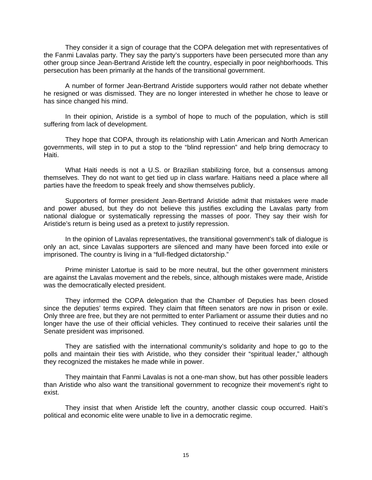They consider it a sign of courage that the COPA delegation met with representatives of the Fanmi Lavalas party. They say the party's supporters have been persecuted more than any other group since Jean-Bertrand Aristide left the country, especially in poor neighborhoods. This persecution has been primarily at the hands of the transitional government.

 A number of former Jean-Bertrand Aristide supporters would rather not debate whether he resigned or was dismissed. They are no longer interested in whether he chose to leave or has since changed his mind.

 In their opinion, Aristide is a symbol of hope to much of the population, which is still suffering from lack of development.

 They hope that COPA, through its relationship with Latin American and North American governments, will step in to put a stop to the "blind repression" and help bring democracy to Haiti.

 What Haiti needs is not a U.S. or Brazilian stabilizing force, but a consensus among themselves. They do not want to get tied up in class warfare. Haitians need a place where all parties have the freedom to speak freely and show themselves publicly.

 Supporters of former president Jean-Bertrand Aristide admit that mistakes were made and power abused, but they do not believe this justifies excluding the Lavalas party from national dialogue or systematically repressing the masses of poor. They say their wish for Aristide's return is being used as a pretext to justify repression.

 In the opinion of Lavalas representatives, the transitional government's talk of dialogue is only an act, since Lavalas supporters are silenced and many have been forced into exile or imprisoned. The country is living in a "full-fledged dictatorship."

 Prime minister Latortue is said to be more neutral, but the other government ministers are against the Lavalas movement and the rebels, since, although mistakes were made, Aristide was the democratically elected president.

 They informed the COPA delegation that the Chamber of Deputies has been closed since the deputies' terms expired. They claim that fifteen senators are now in prison or exile. Only three are free, but they are not permitted to enter Parliament or assume their duties and no longer have the use of their official vehicles. They continued to receive their salaries until the Senate president was imprisoned.

They are satisfied with the international community's solidarity and hope to go to the polls and maintain their ties with Aristide, who they consider their "spiritual leader," although they recognized the mistakes he made while in power.

They maintain that Fanmi Lavalas is not a one-man show, but has other possible leaders than Aristide who also want the transitional government to recognize their movement's right to exist.

They insist that when Aristide left the country, another classic coup occurred. Haiti's political and economic elite were unable to live in a democratic regime.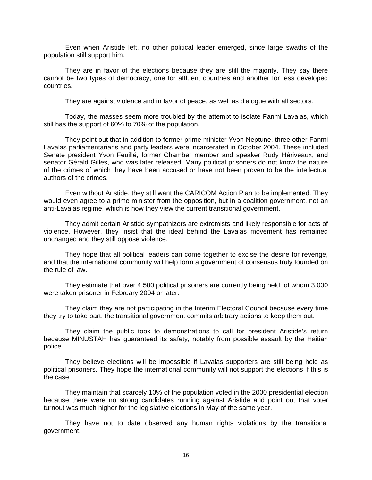Even when Aristide left, no other political leader emerged, since large swaths of the population still support him.

They are in favor of the elections because they are still the majority. They say there cannot be two types of democracy, one for affluent countries and another for less developed countries.

They are against violence and in favor of peace, as well as dialogue with all sectors.

Today, the masses seem more troubled by the attempt to isolate Fanmi Lavalas, which still has the support of 60% to 70% of the population.

They point out that in addition to former prime minister Yvon Neptune, three other Fanmi Lavalas parliamentarians and party leaders were incarcerated in October 2004. These included Senate president Yvon Feuillé, former Chamber member and speaker Rudy Hériveaux, and senator Gérald Gilles, who was later released. Many political prisoners do not know the nature of the crimes of which they have been accused or have not been proven to be the intellectual authors of the crimes.

Even without Aristide, they still want the CARICOM Action Plan to be implemented. They would even agree to a prime minister from the opposition, but in a coalition government, not an anti-Lavalas regime, which is how they view the current transitional government.

They admit certain Aristide sympathizers are extremists and likely responsible for acts of violence. However, they insist that the ideal behind the Lavalas movement has remained unchanged and they still oppose violence.

They hope that all political leaders can come together to excise the desire for revenge, and that the international community will help form a government of consensus truly founded on the rule of law.

They estimate that over 4,500 political prisoners are currently being held, of whom 3,000 were taken prisoner in February 2004 or later.

They claim they are not participating in the Interim Electoral Council because every time they try to take part, the transitional government commits arbitrary actions to keep them out.

They claim the public took to demonstrations to call for president Aristide's return because MINUSTAH has guaranteed its safety, notably from possible assault by the Haitian police.

They believe elections will be impossible if Lavalas supporters are still being held as political prisoners. They hope the international community will not support the elections if this is the case.

They maintain that scarcely 10% of the population voted in the 2000 presidential election because there were no strong candidates running against Aristide and point out that voter turnout was much higher for the legislative elections in May of the same year.

They have not to date observed any human rights violations by the transitional government.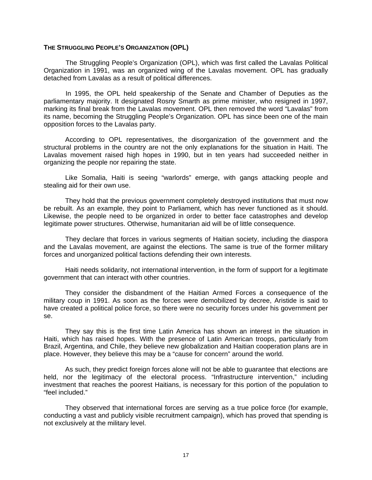#### **THE STRUGGLING PEOPLE'S ORGANIZATION (OPL)**

The Struggling People's Organization (OPL), which was first called the Lavalas Political Organization in 1991, was an organized wing of the Lavalas movement. OPL has gradually detached from Lavalas as a result of political differences.

In 1995, the OPL held speakership of the Senate and Chamber of Deputies as the parliamentary majority. It designated Rosny Smarth as prime minister, who resigned in 1997, marking its final break from the Lavalas movement. OPL then removed the word "Lavalas" from its name, becoming the Struggling People's Organization. OPL has since been one of the main opposition forces to the Lavalas party.

According to OPL representatives, the disorganization of the government and the structural problems in the country are not the only explanations for the situation in Haiti. The Lavalas movement raised high hopes in 1990, but in ten years had succeeded neither in organizing the people nor repairing the state.

 Like Somalia, Haiti is seeing "warlords" emerge, with gangs attacking people and stealing aid for their own use.

 They hold that the previous government completely destroyed institutions that must now be rebuilt. As an example, they point to Parliament, which has never functioned as it should. Likewise, the people need to be organized in order to better face catastrophes and develop legitimate power structures. Otherwise, humanitarian aid will be of little consequence.

 They declare that forces in various segments of Haitian society, including the diaspora and the Lavalas movement, are against the elections. The same is true of the former military forces and unorganized political factions defending their own interests.

 Haiti needs solidarity, not international intervention, in the form of support for a legitimate government that can interact with other countries.

 They consider the disbandment of the Haitian Armed Forces a consequence of the military coup in 1991. As soon as the forces were demobilized by decree, Aristide is said to have created a political police force, so there were no security forces under his government per se.

 They say this is the first time Latin America has shown an interest in the situation in Haiti, which has raised hopes. With the presence of Latin American troops, particularly from Brazil, Argentina, and Chile, they believe new globalization and Haitian cooperation plans are in place. However, they believe this may be a "cause for concern" around the world.

 As such, they predict foreign forces alone will not be able to guarantee that elections are held, nor the legitimacy of the electoral process. "Infrastructure intervention," including investment that reaches the poorest Haitians, is necessary for this portion of the population to "feel included."

 They observed that international forces are serving as a true police force (for example, conducting a vast and publicly visible recruitment campaign), which has proved that spending is not exclusively at the military level.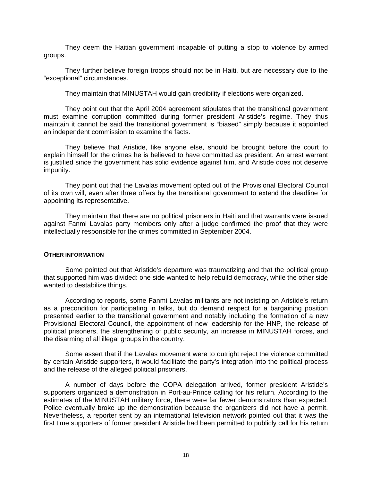They deem the Haitian government incapable of putting a stop to violence by armed groups.

 They further believe foreign troops should not be in Haiti, but are necessary due to the "exceptional" circumstances.

They maintain that MINUSTAH would gain credibility if elections were organized.

 They point out that the April 2004 agreement stipulates that the transitional government must examine corruption committed during former president Aristide's regime. They thus maintain it cannot be said the transitional government is "biased" simply because it appointed an independent commission to examine the facts.

 They believe that Aristide, like anyone else, should be brought before the court to explain himself for the crimes he is believed to have committed as president. An arrest warrant is justified since the government has solid evidence against him, and Aristide does not deserve impunity.

 They point out that the Lavalas movement opted out of the Provisional Electoral Council of its own will, even after three offers by the transitional government to extend the deadline for appointing its representative.

 They maintain that there are no political prisoners in Haiti and that warrants were issued against Fanmi Lavalas party members only after a judge confirmed the proof that they were intellectually responsible for the crimes committed in September 2004.

#### **OTHER INFORMATION**

Some pointed out that Aristide's departure was traumatizing and that the political group that supported him was divided: one side wanted to help rebuild democracy, while the other side wanted to destabilize things.

 According to reports, some Fanmi Lavalas militants are not insisting on Aristide's return as a precondition for participating in talks, but do demand respect for a bargaining position presented earlier to the transitional government and notably including the formation of a new Provisional Electoral Council, the appointment of new leadership for the HNP, the release of political prisoners, the strengthening of public security, an increase in MINUSTAH forces, and the disarming of all illegal groups in the country.

 Some assert that if the Lavalas movement were to outright reject the violence committed by certain Aristide supporters, it would facilitate the party's integration into the political process and the release of the alleged political prisoners.

 A number of days before the COPA delegation arrived, former president Aristide's supporters organized a demonstration in Port-au-Prince calling for his return. According to the estimates of the MINUSTAH military force, there were far fewer demonstrators than expected. Police eventually broke up the demonstration because the organizers did not have a permit. Nevertheless, a reporter sent by an international television network pointed out that it was the first time supporters of former president Aristide had been permitted to publicly call for his return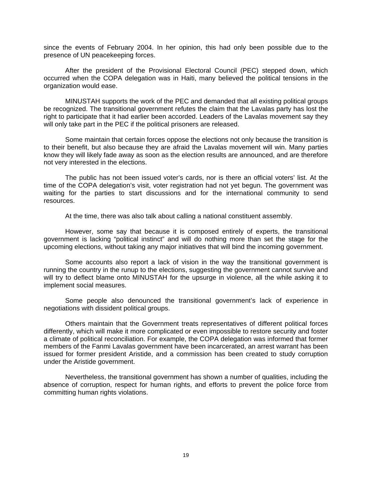since the events of February 2004. In her opinion, this had only been possible due to the presence of UN peacekeeping forces.

 After the president of the Provisional Electoral Council (PEC) stepped down, which occurred when the COPA delegation was in Haiti, many believed the political tensions in the organization would ease.

 MINUSTAH supports the work of the PEC and demanded that all existing political groups be recognized. The transitional government refutes the claim that the Lavalas party has lost the right to participate that it had earlier been accorded. Leaders of the Lavalas movement say they will only take part in the PEC if the political prisoners are released.

 Some maintain that certain forces oppose the elections not only because the transition is to their benefit, but also because they are afraid the Lavalas movement will win. Many parties know they will likely fade away as soon as the election results are announced, and are therefore not very interested in the elections.

 The public has not been issued voter's cards, nor is there an official voters' list. At the time of the COPA delegation's visit, voter registration had not yet begun. The government was waiting for the parties to start discussions and for the international community to send resources.

At the time, there was also talk about calling a national constituent assembly.

However, some say that because it is composed entirely of experts, the transitional government is lacking "political instinct" and will do nothing more than set the stage for the upcoming elections, without taking any major initiatives that will bind the incoming government.

 Some accounts also report a lack of vision in the way the transitional government is running the country in the runup to the elections, suggesting the government cannot survive and will try to deflect blame onto MINUSTAH for the upsurge in violence, all the while asking it to implement social measures.

 Some people also denounced the transitional government's lack of experience in negotiations with dissident political groups.

 Others maintain that the Government treats representatives of different political forces differently, which will make it more complicated or even impossible to restore security and foster a climate of political reconciliation. For example, the COPA delegation was informed that former members of the Fanmi Lavalas government have been incarcerated, an arrest warrant has been issued for former president Aristide, and a commission has been created to study corruption under the Aristide government.

 Nevertheless, the transitional government has shown a number of qualities, including the absence of corruption, respect for human rights, and efforts to prevent the police force from committing human rights violations.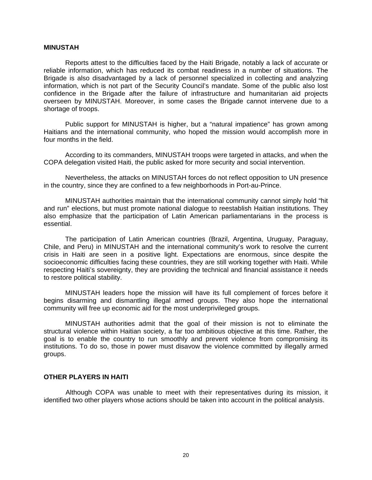# **MINUSTAH**

 Reports attest to the difficulties faced by the Haiti Brigade, notably a lack of accurate or reliable information, which has reduced its combat readiness in a number of situations. The Brigade is also disadvantaged by a lack of personnel specialized in collecting and analyzing information, which is not part of the Security Council's mandate. Some of the public also lost confidence in the Brigade after the failure of infrastructure and humanitarian aid projects overseen by MINUSTAH. Moreover, in some cases the Brigade cannot intervene due to a shortage of troops.

Public support for MINUSTAH is higher, but a "natural impatience" has grown among Haitians and the international community, who hoped the mission would accomplish more in four months in the field.

 According to its commanders, MINUSTAH troops were targeted in attacks, and when the COPA delegation visited Haiti, the public asked for more security and social intervention.

Nevertheless, the attacks on MINUSTAH forces do not reflect opposition to UN presence in the country, since they are confined to a few neighborhoods in Port-au-Prince.

MINUSTAH authorities maintain that the international community cannot simply hold "hit and run" elections, but must promote national dialogue to reestablish Haitian institutions. They also emphasize that the participation of Latin American parliamentarians in the process is essential.

The participation of Latin American countries (Brazil, Argentina, Uruguay, Paraguay, Chile, and Peru) in MINUSTAH and the international community's work to resolve the current crisis in Haiti are seen in a positive light. Expectations are enormous, since despite the socioeconomic difficulties facing these countries, they are still working together with Haiti. While respecting Haiti's sovereignty, they are providing the technical and financial assistance it needs to restore political stability.

MINUSTAH leaders hope the mission will have its full complement of forces before it begins disarming and dismantling illegal armed groups. They also hope the international community will free up economic aid for the most underprivileged groups.

MINUSTAH authorities admit that the goal of their mission is not to eliminate the structural violence within Haitian society, a far too ambitious objective at this time. Rather, the goal is to enable the country to run smoothly and prevent violence from compromising its institutions. To do so, those in power must disavow the violence committed by illegally armed groups.

# **OTHER PLAYERS IN HAITI**

Although COPA was unable to meet with their representatives during its mission, it identified two other players whose actions should be taken into account in the political analysis.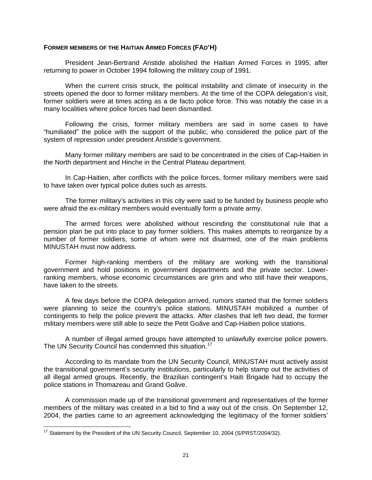### **FORMER MEMBERS OF THE HAITIAN ARMED FORCES (FAD'H)**

President Jean-Bertrand Aristide abolished the Haitian Armed Forces in 1995, after returning to power in October 1994 following the military coup of 1991.

 When the current crisis struck, the political instability and climate of insecurity in the streets opened the door to former military members. At the time of the COPA delegation's visit, former soldiers were at times acting as a de facto police force. This was notably the case in a many localities where police forces had been dismantled.

 Following the crisis, former military members are said in some cases to have "humiliated" the police with the support of the public, who considered the police part of the system of repression under president Aristide's government.

 Many former military members are said to be concentrated in the cities of Cap-Haitien in the North department and Hinche in the Central Plateau department.

 In Cap-Haitien, after conflicts with the police forces, former military members were said to have taken over typical police duties such as arrests.

 The former military's activities in this city were said to be funded by business people who were afraid the ex-military members would eventually form a private army.

 The armed forces were abolished without rescinding the constitutional rule that a pension plan be put into place to pay former soldiers. This makes attempts to reorganize by a number of former soldiers, some of whom were not disarmed, one of the main problems MINUSTAH must now address.

 Former high-ranking members of the military are working with the transitional government and hold positions in government departments and the private sector. Lowerranking members, whose economic circumstances are grim and who still have their weapons, have taken to the streets.

 A few days before the COPA delegation arrived, rumors started that the former soldiers were planning to seize the country's police stations. MINUSTAH mobilized a number of contingents to help the police prevent the attacks. After clashes that left two dead, the former military members were still able to seize the Petit Goâve and Cap-Haitien police stations.

 A number of illegal armed groups have attempted to unlawfully exercise police powers. The UN Security Council has condemned this situation.<sup>[17](#page-20-0)</sup>

 According to its mandate from the UN Security Council, MINUSTAH must actively assist the transitional government's security institutions, particularly to help stamp out the activities of all illegal armed groups. Recently, the Brazilian contingent's Haiti Brigade had to occupy the police stations in Thomazeau and Grand Goâve.

 A commission made up of the transitional government and representatives of the former members of the military was created in a bid to find a way out of the crisis. On September 12, 2004, the parties came to an agreement acknowledging the legitimacy of the former soldiers'

<span id="page-20-0"></span> $\overline{a}$  $17$  Statement by the President of the UN Security Council, September 10, 2004 (S/PRST/2004/32).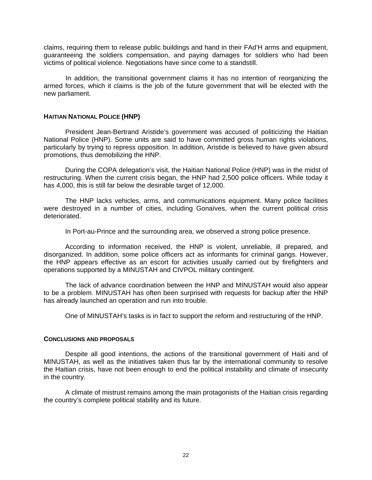claims, requiring them to release public buildings and hand in their FAd'H arms and equipment, guaranteeing the soldiers compensation, and paying damages for soldiers who had been victims of political violence. Negotiations have since come to a standstill.

In addition, the transitional government claims it has no intention of reorganizing the armed forces, which it claims is the job of the future government that will be elected with the new parliament.

# **HAITIAN NATIONAL POLICE (HNP)**

President Jean-Bertrand Aristide's government was accused of politicizing the Haitian National Police (HNP). Some units are said to have committed gross human rights violations, particularly by trying to repress opposition. In addition, Aristide is believed to have given absurd promotions, thus demobilizing the HNP.

During the COPA delegation's visit, the Haitian National Police (HNP) was in the midst of restructuring. When the current crisis began, the HNP had 2,500 police officers. While today it has 4,000, this is still far below the desirable target of 12,000.

The HNP lacks vehicles, arms, and communications equipment. Many police facilities were destroyed in a number of cities, including Gonaïves, when the current political crisis deteriorated.

In Port-au-Prince and the surrounding area, we observed a strong police presence.

According to information received, the HNP is violent, unreliable, ill prepared, and disorganized. In addition, some police officers act as informants for criminal gangs. However, the HNP appears effective as an escort for activities usually carried out by firefighters and operations supported by a MINUSTAH and CIVPOL military contingent.

The lack of advance coordination between the HNP and MINUSTAH would also appear to be a problem. MINUSTAH has often been surprised with requests for backup after the HNP has already launched an operation and run into trouble.

One of MINUSTAH's tasks is in fact to support the reform and restructuring of the HNP.

#### **CONCLUSIONS AND PROPOSALS**

Despite all good intentions, the actions of the transitional government of Haiti and of MINUSTAH, as well as the initiatives taken thus far by the international community to resolve the Haitian crisis, have not been enough to end the political instability and climate of insecurity in the country.

A climate of mistrust remains among the main protagonists of the Haitian crisis regarding the country's complete political stability and its future.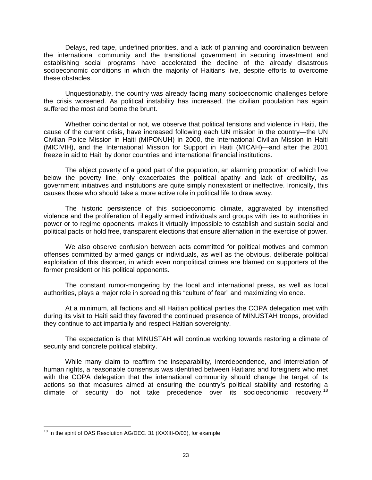Delays, red tape, undefined priorities, and a lack of planning and coordination between the international community and the transitional government in securing investment and establishing social programs have accelerated the decline of the already disastrous socioeconomic conditions in which the majority of Haitians live, despite efforts to overcome these obstacles.

Unquestionably, the country was already facing many socioeconomic challenges before the crisis worsened. As political instability has increased, the civilian population has again suffered the most and borne the brunt.

Whether coincidental or not, we observe that political tensions and violence in Haiti, the cause of the current crisis, have increased following each UN mission in the country—the UN Civilian Police Mission in Haiti (MIPONUH) in 2000, the International Civilian Mission in Haiti (MICIVIH), and the International Mission for Support in Haiti (MICAH)—and after the 2001 freeze in aid to Haiti by donor countries and international financial institutions.

The abject poverty of a good part of the population, an alarming proportion of which live below the poverty line, only exacerbates the political apathy and lack of credibility, as government initiatives and institutions are quite simply nonexistent or ineffective. Ironically, this causes those who should take a more active role in political life to draw away.

The historic persistence of this socioeconomic climate, aggravated by intensified violence and the proliferation of illegally armed individuals and groups with ties to authorities in power or to regime opponents, makes it virtually impossible to establish and sustain social and political pacts or hold free, transparent elections that ensure alternation in the exercise of power.

We also observe confusion between acts committed for political motives and common offenses committed by armed gangs or individuals, as well as the obvious, deliberate political exploitation of this disorder, in which even nonpolitical crimes are blamed on supporters of the former president or his political opponents.

The constant rumor-mongering by the local and international press, as well as local authorities, plays a major role in spreading this "culture of fear" and maximizing violence.

At a minimum, all factions and all Haitian political parties the COPA delegation met with during its visit to Haiti said they favored the continued presence of MINUSTAH troops, provided they continue to act impartially and respect Haitian sovereignty.

The expectation is that MINUSTAH will continue working towards restoring a climate of security and concrete political stability.

While many claim to reaffirm the inseparability, interdependence, and interrelation of human rights, a reasonable consensus was identified between Haitians and foreigners who met with the COPA delegation that the international community should change the target of its actions so that measures aimed at ensuring the country's political stability and restoring a climate of security do not take precedence over its socioeconomic recovery.<sup>[18](#page-22-0)</sup>

<span id="page-22-0"></span> $\overline{a}$ <sup>18</sup> In the spirit of OAS Resolution AG/DEC. 31 (XXXIII-O/03), for example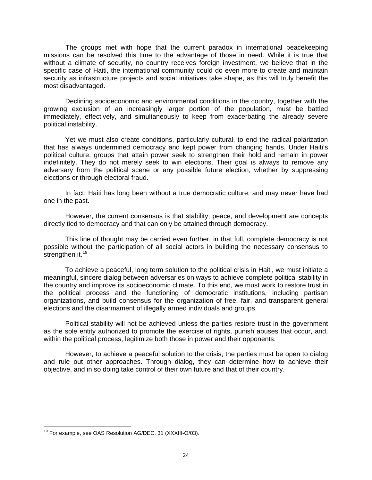The groups met with hope that the current paradox in international peacekeeping missions can be resolved this time to the advantage of those in need. While it is true that without a climate of security, no country receives foreign investment, we believe that in the specific case of Haiti, the international community could do even more to create and maintain security as infrastructure projects and social initiatives take shape, as this will truly benefit the most disadvantaged.

Declining socioeconomic and environmental conditions in the country, together with the growing exclusion of an increasingly larger portion of the population, must be battled immediately, effectively, and simultaneously to keep from exacerbating the already severe political instability.

Yet we must also create conditions, particularly cultural, to end the radical polarization that has always undermined democracy and kept power from changing hands. Under Haiti's political culture, groups that attain power seek to strengthen their hold and remain in power indefinitely. They do not merely seek to win elections. Their goal is always to remove any adversary from the political scene or any possible future election, whether by suppressing elections or through electoral fraud.

In fact, Haiti has long been without a true democratic culture, and may never have had one in the past.

However, the current consensus is that stability, peace, and development are concepts directly tied to democracy and that can only be attained through democracy.

This line of thought may be carried even further, in that full, complete democracy is not possible without the participation of all social actors in building the necessary consensus to strengthen it.<sup>[19](#page-23-0)</sup>

To achieve a peaceful, long term solution to the political crisis in Haiti, we must initiate a meaningful, sincere dialog between adversaries on ways to achieve complete political stability in the country and improve its socioeconomic climate. To this end, we must work to restore trust in the political process and the functioning of democratic institutions, including partisan organizations, and build consensus for the organization of free, fair, and transparent general elections and the disarmament of illegally armed individuals and groups.

Political stability will not be achieved unless the parties restore trust in the government as the sole entity authorized to promote the exercise of rights, punish abuses that occur, and, within the political process, legitimize both those in power and their opponents.

However, to achieve a peaceful solution to the crisis, the parties must be open to dialog and rule out other approaches. Through dialog, they can determine how to achieve their objective, and in so doing take control of their own future and that of their country.

<span id="page-23-0"></span> $\overline{a}$ <sup>19</sup> For example, see OAS Resolution AG/DEC. 31 (XXXIII-O/03).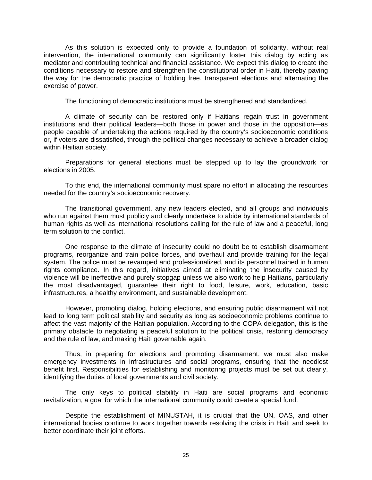As this solution is expected only to provide a foundation of solidarity, without real intervention, the international community can significantly foster this dialog by acting as mediator and contributing technical and financial assistance. We expect this dialog to create the conditions necessary to restore and strengthen the constitutional order in Haiti, thereby paving the way for the democratic practice of holding free, transparent elections and alternating the exercise of power.

The functioning of democratic institutions must be strengthened and standardized.

A climate of security can be restored only if Haitians regain trust in government institutions and their political leaders—both those in power and those in the opposition—as people capable of undertaking the actions required by the country's socioeconomic conditions or, if voters are dissatisfied, through the political changes necessary to achieve a broader dialog within Haitian society.

Preparations for general elections must be stepped up to lay the groundwork for elections in 2005.

To this end, the international community must spare no effort in allocating the resources needed for the country's socioeconomic recovery.

The transitional government, any new leaders elected, and all groups and individuals who run against them must publicly and clearly undertake to abide by international standards of human rights as well as international resolutions calling for the rule of law and a peaceful, long term solution to the conflict.

One response to the climate of insecurity could no doubt be to establish disarmament programs, reorganize and train police forces, and overhaul and provide training for the legal system. The police must be revamped and professionalized, and its personnel trained in human rights compliance. In this regard, initiatives aimed at eliminating the insecurity caused by violence will be ineffective and purely stopgap unless we also work to help Haitians, particularly the most disadvantaged, guarantee their right to food, leisure, work, education, basic infrastructures, a healthy environment, and sustainable development.

 However, promoting dialog, holding elections, and ensuring public disarmament will not lead to long term political stability and security as long as socioeconomic problems continue to affect the vast majority of the Haitian population. According to the COPA delegation, this is the primary obstacle to negotiating a peaceful solution to the political crisis, restoring democracy and the rule of law, and making Haiti governable again.

Thus, in preparing for elections and promoting disarmament, we must also make emergency investments in infrastructures and social programs, ensuring that the neediest benefit first. Responsibilities for establishing and monitoring projects must be set out clearly, identifying the duties of local governments and civil society.

The only keys to political stability in Haiti are social programs and economic revitalization, a goal for which the international community could create a special fund.

Despite the establishment of MINUSTAH, it is crucial that the UN, OAS, and other international bodies continue to work together towards resolving the crisis in Haiti and seek to better coordinate their joint efforts.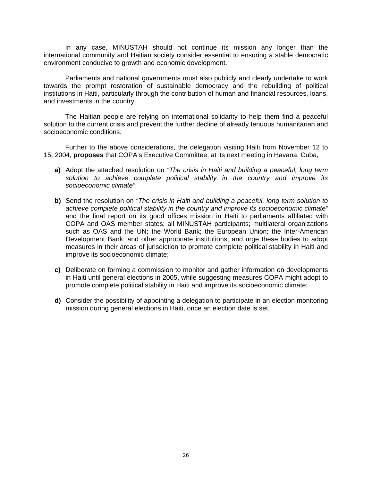In any case, MINUSTAH should not continue its mission any longer than the international community and Haitian society consider essential to ensuring a stable democratic environment conducive to growth and economic development.

Parliaments and national governments must also publicly and clearly undertake to work towards the prompt restoration of sustainable democracy and the rebuilding of political institutions in Haiti, particularly through the contribution of human and financial resources, loans, and investments in the country.

The Haitian people are relying on international solidarity to help them find a peaceful solution to the current crisis and prevent the further decline of already tenuous humanitarian and socioeconomic conditions.

Further to the above considerations, the delegation visiting Haiti from November 12 to 15, 2004, **proposes** that COPA's Executive Committee, at its next meeting in Havana, Cuba,

- **a)** Adopt the attached resolution on *"The crisis in Haiti and building a peaceful, long term solution to achieve complete political stability in the country and improve its socioeconomic climate"*;
- **b)** Send the resolution on *"The crisis in Haiti and building a peaceful, long term solution to achieve complete political stability in the country and improve its socioeconomic climate"* and the final report on its good offices mission in Haiti to parliaments affiliated with COPA and OAS member states; all MINUSTAH participants; multilateral organizations such as OAS and the UN; the World Bank; the European Union; the Inter-American Development Bank; and other appropriate institutions, and urge these bodies to adopt measures in their areas of jurisdiction to promote complete political stability in Haiti and improve its socioeconomic climate;
- **c)** Deliberate on forming a commission to monitor and gather information on developments in Haiti until general elections in 2005, while suggesting measures COPA might adopt to promote complete political stability in Haiti and improve its socioeconomic climate;
- **d)** Consider the possibility of appointing a delegation to participate in an election monitoring mission during general elections in Haiti, once an election date is set.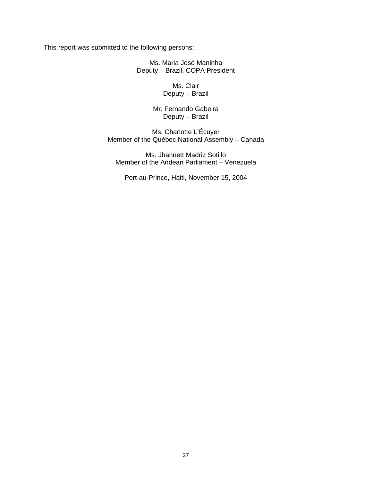This report was submitted to the following persons:

Ms. Maria José Maninha Deputy – Brazil, COPA President

> Ms. Clair Deputy – Brazil

Mr. Fernando Gabeira Deputy – Brazil

Ms. Charlotte L'Écuyer Member of the Québec National Assembly – Canada

Ms. Jhannett Madriz Sotillo Member of the Andean Parliament – Venezuela

Port-au-Prince, Haiti, November 15, 2004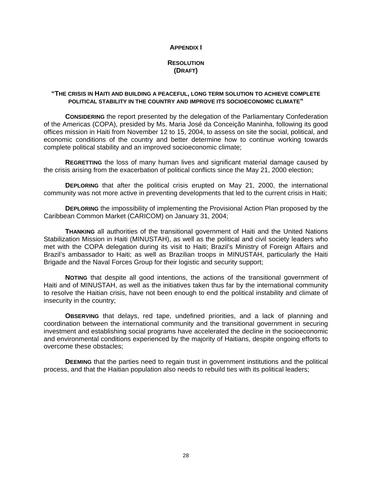## **APPENDIX I**

# **RESOLUTION (DRAFT)**

# **"THE CRISIS IN HAITI AND BUILDING A PEACEFUL, LONG TERM SOLUTION TO ACHIEVE COMPLETE POLITICAL STABILITY IN THE COUNTRY AND IMPROVE ITS SOCIOECONOMIC CLIMATE"**

**CONSIDERING** the report presented by the delegation of the Parliamentary Confederation of the Americas (COPA), presided by Ms. Maria José da Conceição Maninha, following its good offices mission in Haiti from November 12 to 15, 2004, to assess on site the social, political, and economic conditions of the country and better determine how to continue working towards complete political stability and an improved socioeconomic climate;

**REGRETTING** the loss of many human lives and significant material damage caused by the crisis arising from the exacerbation of political conflicts since the May 21, 2000 election;

**DEPLORING** that after the political crisis erupted on May 21, 2000, the international community was not more active in preventing developments that led to the current crisis in Haiti;

**DEPLORING** the impossibility of implementing the Provisional Action Plan proposed by the Caribbean Common Market (CARICOM) on January 31, 2004;

**THANKING** all authorities of the transitional government of Haiti and the United Nations Stabilization Mission in Haiti (MINUSTAH), as well as the political and civil society leaders who met with the COPA delegation during its visit to Haiti; Brazil's Ministry of Foreign Affairs and Brazil's ambassador to Haiti; as well as Brazilian troops in MINUSTAH, particularly the Haiti Brigade and the Naval Forces Group for their logistic and security support;

**NOTING** that despite all good intentions, the actions of the transitional government of Haiti and of MINUSTAH, as well as the initiatives taken thus far by the international community to resolve the Haitian crisis, have not been enough to end the political instability and climate of insecurity in the country;

**OBSERVING** that delays, red tape, undefined priorities, and a lack of planning and coordination between the international community and the transitional government in securing investment and establishing social programs have accelerated the decline in the socioeconomic and environmental conditions experienced by the majority of Haitians, despite ongoing efforts to overcome these obstacles;

**DEEMING** that the parties need to regain trust in government institutions and the political process, and that the Haitian population also needs to rebuild ties with its political leaders;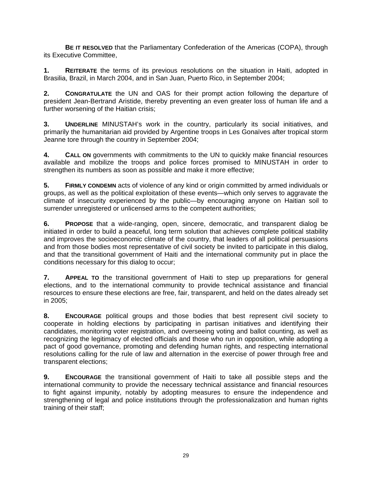**BE IT RESOLVED** that the Parliamentary Confederation of the Americas (COPA), through its Executive Committee,

**1. REITERATE** the terms of its previous resolutions on the situation in Haiti, adopted in Brasilia, Brazil, in March 2004, and in San Juan, Puerto Rico, in September 2004;

**2. CONGRATULATE** the UN and OAS for their prompt action following the departure of president Jean-Bertrand Aristide, thereby preventing an even greater loss of human life and a further worsening of the Haitian crisis;

**3. UNDERLINE** MINUSTAH's work in the country, particularly its social initiatives, and primarily the humanitarian aid provided by Argentine troops in Les Gonaïves after tropical storm Jeanne tore through the country in September 2004;

**4. CALL ON** governments with commitments to the UN to quickly make financial resources available and mobilize the troops and police forces promised to MINUSTAH in order to strengthen its numbers as soon as possible and make it more effective;

**5. FIRMLY CONDEMN** acts of violence of any kind or origin committed by armed individuals or groups, as well as the political exploitation of these events—which only serves to aggravate the climate of insecurity experienced by the public—by encouraging anyone on Haitian soil to surrender unregistered or unlicensed arms to the competent authorities:

**6. PROPOSE** that a wide-ranging, open, sincere, democratic, and transparent dialog be initiated in order to build a peaceful, long term solution that achieves complete political stability and improves the socioeconomic climate of the country, that leaders of all political persuasions and from those bodies most representative of civil society be invited to participate in this dialog, and that the transitional government of Haiti and the international community put in place the conditions necessary for this dialog to occur;

**7. APPEAL TO** the transitional government of Haiti to step up preparations for general elections, and to the international community to provide technical assistance and financial resources to ensure these elections are free, fair, transparent, and held on the dates already set in 2005;

**8. ENCOURAGE** political groups and those bodies that best represent civil society to cooperate in holding elections by participating in partisan initiatives and identifying their candidates, monitoring voter registration, and overseeing voting and ballot counting, as well as recognizing the legitimacy of elected officials and those who run in opposition, while adopting a pact of good governance, promoting and defending human rights, and respecting international resolutions calling for the rule of law and alternation in the exercise of power through free and transparent elections;

**9. ENCOURAGE** the transitional government of Haiti to take all possible steps and the international community to provide the necessary technical assistance and financial resources to fight against impunity, notably by adopting measures to ensure the independence and strengthening of legal and police institutions through the professionalization and human rights training of their staff;